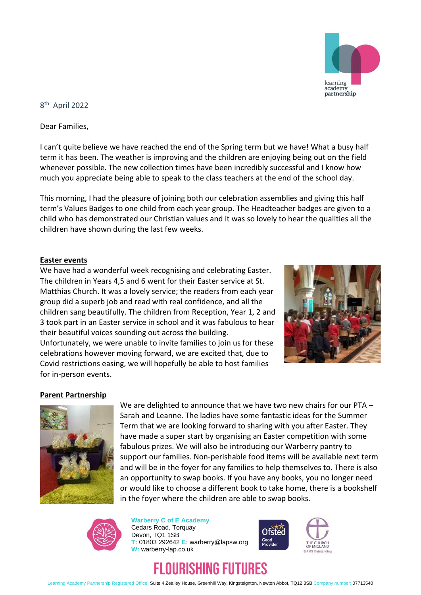

8 th April 2022

Dear Families,

I can't quite believe we have reached the end of the Spring term but we have! What a busy half term it has been. The weather is improving and the children are enjoying being out on the field whenever possible. The new collection times have been incredibly successful and I know how much you appreciate being able to speak to the class teachers at the end of the school day.

This morning, I had the pleasure of joining both our celebration assemblies and giving this half term's Values Badges to one child from each year group. The Headteacher badges are given to a child who has demonstrated our Christian values and it was so lovely to hear the qualities all the children have shown during the last few weeks.

#### **Easter events**

We have had a wonderful week recognising and celebrating Easter. The children in Years 4,5 and 6 went for their Easter service at St. Matthias Church. It was a lovely service; the readers from each year group did a superb job and read with real confidence, and all the children sang beautifully. The children from Reception, Year 1, 2 and 3 took part in an Easter service in school and it was fabulous to hear their beautiful voices sounding out across the building. Unfortunately, we were unable to invite families to join us for these celebrations however moving forward, we are excited that, due to Covid restrictions easing, we will hopefully be able to host families for in-person events.



#### **Parent Partnership**



We are delighted to announce that we have two new chairs for our PTA -Sarah and Leanne. The ladies have some fantastic ideas for the Summer Term that we are looking forward to sharing with you after Easter. They have made a super start by organising an Easter competition with some fabulous prizes. We will also be introducing our Warberry pantry to support our families. Non-perishable food items will be available next term and will be in the foyer for any families to help themselves to. There is also an opportunity to swap books. If you have any books, you no longer need or would like to choose a different book to take home, there is a bookshelf in the foyer where the children are able to swap books.



**Warberry C of E Academy** Cedars Road, Torquay Devon, TQ1 1SB **T:** 01803 292642 **E:** warberry@lapsw.org **W:** warberry-lap.co.uk





# FLOURISHING FUTURES

Learning Academy Partnership Registered Office: Suite 4 Zealley House, Greenhill Way, Kingsteignton, Newton Abbot, TQ12 3SB Company number: 07713540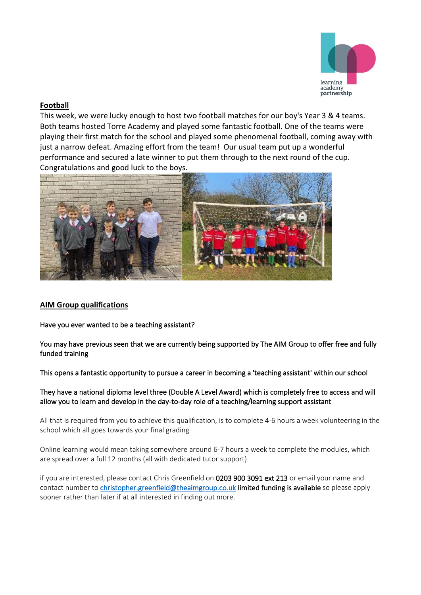

## **Football**

This week, we were lucky enough to host two football matches for our boy's Year 3 & 4 teams. Both teams hosted Torre Academy and played some fantastic football. One of the teams were playing their first match for the school and played some phenomenal football, coming away with just a narrow defeat. Amazing effort from the team! Our usual team put up a wonderful performance and secured a late winner to put them through to the next round of the cup. Congratulations and good luck to the boys.



### **AIM Group qualifications**

Have you ever wanted to be a teaching assistant?

You may have previous seen that we are currently being supported by The AIM Group to offer free and fully funded training

This opens a fantastic opportunity to pursue a career in becoming a 'teaching assistant' within our school

They have a national diploma level three (Double A Level Award) which is completely free to access and will allow you to learn and develop in the day-to-day role of a teaching/learning support assistant

All that is required from you to achieve this qualification, is to complete 4-6 hours a week volunteering in the school which all goes towards your final grading

Online learning would mean taking somewhere around 6-7 hours a week to complete the modules, which are spread over a full 12 months (all with dedicated tutor support)

if you are interested, please contact Chris Greenfield on 0203 900 3091 ext 213 or email your name and contact number to [christopher.greenfield@theaimgroup.co.uk](mailto:christopher.greenfield@theaimgroup.co.uk) limited funding is available so please apply sooner rather than later if at all interested in finding out more.